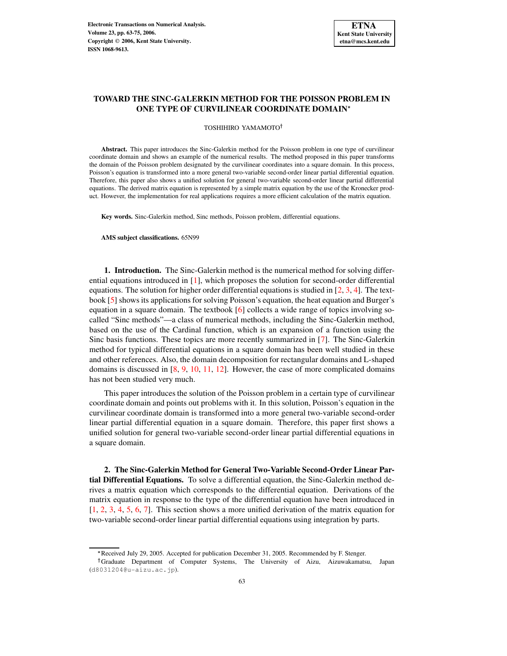## **TOWARD THE SINC-GALERKIN METHOD FOR THE POISSON PROBLEM IN ONE TYPE OF CURVILINEAR COORDINATE DOMAIN**

TOSHIHIRO YAMAMOTO

**Abstract.** This paper introduces the Sinc-Galerkin method for the Poisson problem in one type of curvilinear coordinate domain and shows an example of the numerical results. The method proposed in this paper transforms the domain of the Poisson problem designated by the curvilinear coordinates into a square domain. In this process, Poisson's equation is transformed into a more general two-variable second-order linear partial differential equation. Therefore, this paper also shows a unified solution for general two-variable second-order linear partial differential equations. The derived matrix equation is represented by a simple matrix equation by the use of the Kronecker product. However, the implementation for real applications requires a more efficient calculation of the matrix equation.

**Key words.** Sinc-Galerkin method, Sinc methods, Poisson problem, differential equations.

**AMS subject classifications.** 65N99

**1. Introduction.** The Sinc-Galerkin method is the numerical method for solving differential equations introduced in [\[1\]](#page-12-0), which proposes the solution for second-order differential equations. The solution for higher order differential equations is studied in  $[2, 3, 4]$  $[2, 3, 4]$  $[2, 3, 4]$  $[2, 3, 4]$  $[2, 3, 4]$ . The textbook [\[5\]](#page-12-4) shows its applications for solving Poisson's equation, the heat equation and Burger's equation in a square domain. The textbook  $[6]$  collects a wide range of topics involving socalled "Sinc methods"—a class of numerical methods, including the Sinc-Galerkin method, based on the use of the Cardinal function, which is an expansion of a function using the Sinc basis functions. These topics are more recently summarized in [\[7\]](#page-12-6). The Sinc-Galerkin method for typical differential equations in a square domain has been well studied in these and other references. Also, the domain decomposition for rectangular domains and L-shaped domains is discussed in [\[8,](#page-12-7) [9,](#page-12-8) [10,](#page-12-9) [11,](#page-12-10) [12\]](#page-12-11). However, the case of more complicated domains has not been studied very much.

This paper introduces the solution of the Poisson problem in a certain type of curvilinear coordinate domain and points out problems with it. In this solution, Poisson's equation in the curvilinear coordinate domain is transformed into a more general two-variable second-order linear partial differential equation in a square domain. Therefore, this paper first shows a unified solution for general two-variable second-order linear partial differential equations in a square domain.

<span id="page-0-0"></span>**2. The Sinc-Galerkin Method for General Two-Variable Second-Order Linear Partial Differential Equations.** To solve a differential equation, the Sinc-Galerkin method derives a matrix equation which corresponds to the differential equation. Derivations of the matrix equation in response to the type of the differential equation have been introduced in [\[1,](#page-12-0) [2,](#page-12-1) [3,](#page-12-2) [4,](#page-12-3) [5,](#page-12-4) [6,](#page-12-5) [7\]](#page-12-6). This section shows a more unified derivation of the matrix equation for two-variable second-order linear partial differential equations using integration by parts.

<sup>-</sup> Received July 29, 2005. Accepted for publication December 31, 2005. Recommended by F. Stenger.

Graduate Department of Computer Systems, The University of Aizu, Aizuwakamatsu, Japan (d8031204@u-aizu.ac.jp).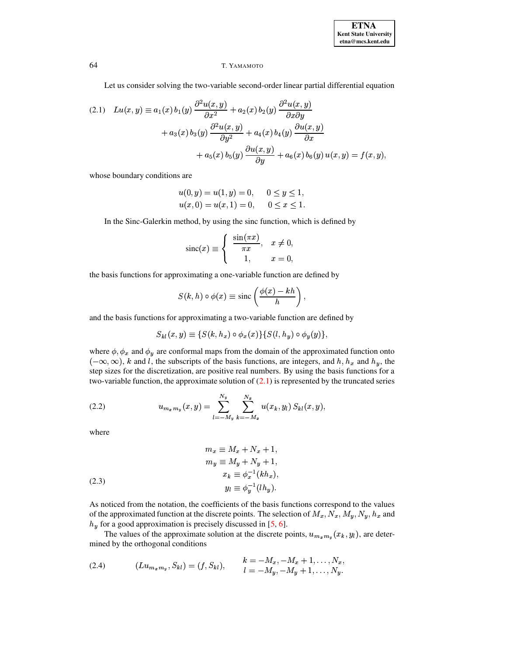## 64 T. YAMAMOTO

Let us consider solving the two-variable second-order linear partial differential equation

<span id="page-1-0"></span>
$$
(2.1) \quad Lu(x,y) \equiv a_1(x) b_1(y) \frac{\partial^2 u(x,y)}{\partial x^2} + a_2(x) b_2(y) \frac{\partial^2 u(x,y)}{\partial x \partial y} + a_3(x) b_3(y) \frac{\partial^2 u(x,y)}{\partial y^2} + a_4(x) b_4(y) \frac{\partial u(x,y)}{\partial x} + a_5(x) b_5(y) \frac{\partial u(x,y)}{\partial y} + a_6(x) b_6(y) u(x,y) = f(x,y),
$$

whose boundary conditions are

$$
u(0, y) = u(1, y) = 0, \quad 0 \le y \le 1,
$$
  

$$
u(x, 0) = u(x, 1) = 0, \quad 0 \le x \le 1.
$$

In the Sinc-Galerkin method, by using the sinc function, which is defined by

$$
\operatorname{sinc}(x) \equiv \begin{cases} \frac{\sin(\pi x)}{\pi x}, & x \neq 0, \\ 1, & x = 0, \end{cases}
$$

the basis functions for approximating a one-variable function are defined by

<span id="page-1-3"></span>
$$
S(k,h)\circ\phi(x)\equiv\text{sinc}\left(\frac{\phi(x)-kh}{h}\right),
$$

and the basis functions for approximating a two-variable function are defined by

$$
S_{kl}(x,y) \equiv \{S(k,h_x) \circ \phi_x(x)\} \{S(l,h_y) \circ \phi_y(y)\}
$$

where  $\phi$ ,  $\phi_x$  and  $\phi_y$  are conformal maps from the domain of the approximated function onto  $(-\infty, \infty)$ , k and l, the subscripts of the basis functions, are integers, and h,  $h_x$  and  $h_y$ , the step sizes for the discretization, are positive real numbers. By using the basis functions for a two-variable function, the approximate solution of  $(2.1)$  is represented by the truncated series

(2.2) 
$$
u_{m_x m_y}(x, y) = \sum_{l=-M_y}^{N_y} \sum_{k=-M_x}^{N_x} u(x_k, y_l) S_{kl}(x, y),
$$

where

<span id="page-1-2"></span>(2.3)  
\n
$$
m_x \equiv M_x + N_x + 1,
$$
\n
$$
m_y \equiv M_y + N_y + 1,
$$
\n
$$
x_k \equiv \phi_x^{-1}(kh_x),
$$
\n
$$
y_l \equiv \phi_n^{-1}(lh_y).
$$

As noticed from the notation, the coefficients of the basis functions correspond to the values of the approximated function at the discrete points. The selection of  $M_x, N_x, M_y, N_y, h_x$  and  $h_y$  for a good approximation is precisely discussed in [\[5,](#page-12-4) [6\]](#page-12-5).

<span id="page-1-1"></span>The values of the approximate solution at the discrete points,  $u_{m_x m_y}(x_k, y_l)$ , are determined by the orthogonal conditions

(2.4) 
$$
(Lu_{m_xm_y}, S_{kl}) = (f, S_{kl}), \qquad \begin{aligned} k &= -M_x, -M_x + 1, \dots, N_x, \\ l &= -M_y, -M_y + 1, \dots, N_y. \end{aligned}
$$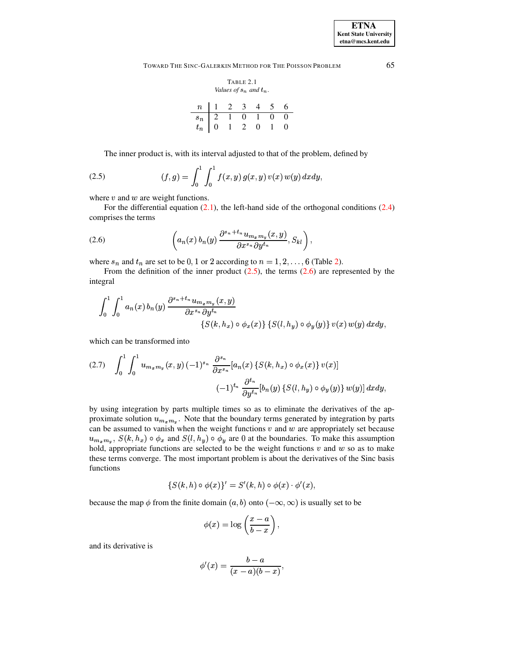<span id="page-2-0"></span>TOWARD THE SINC-GALERKIN METHOD FOR THE POISSON PROBLEM 65

TABLE 2.1  
\nValues of 
$$
s_n
$$
 and  $t_n$ .  
\n
$$
\begin{array}{c|cccc}\nn & 1 & 2 & 3 & 4 & 5 & 6 \\
\hline\ns_n & 2 & 1 & 0 & 1 & 0 & 0 \\
t_n & 0 & 1 & 2 & 0 & 1 & 0\n\end{array}
$$

The inner product is, with its interval adjusted to that of the problem, defined by

(2.5) 
$$
(f,g) = \int_0^1 \int_0^1 f(x,y) g(x,y) v(x) w(y) dx dy,
$$

where  $v$  and  $w$  are weight functions.

<span id="page-2-2"></span>For the differential equation [\(2.1\)](#page-1-0), the left-hand side of the orthogonal conditions [\(2.4\)](#page-1-1) comprises the terms

(2.6) 
$$
\left(a_n(x) b_n(y) \frac{\partial^{s_n+t_n} u_{m_x m_y}(x, y)}{\partial x^{s_n} \partial y^{t_n}}, S_{kl}\right),
$$

where  $s_n$  and  $t_n$  are set to be  $0, 1$  or 2 according to  $n = 1, 2, \ldots, 6$  (Table [2\)](#page-2-0).

From the definition of the inner product  $(2.5)$ , the terms  $(2.6)$  are represented by the integral

$$
\int_0^1 \int_0^1 a_n(x) b_n(y) \frac{\partial^{s_n+t_n} u_{m_x m_y}(x,y)}{\partial x^{s_n} \partial y^{t_n}} \n\{S(k, h_x) \circ \phi_x(x)\} \{S(l, h_y) \circ \phi_y(y)\} \, v(x) \, w(y) \, dxdy,
$$

which can be transformed into

<span id="page-2-3"></span>
$$
(2.7) \quad \int_0^1 \int_0^1 u_{m_x m_y}(x, y) \, (-1)^{s_n} \, \frac{\partial^{s_n}}{\partial x^{s_n}} [a_n(x) \left\{ S(k, h_x) \circ \phi_x(x) \right\} v(x)]
$$

$$
(-1)^{t_n} \, \frac{\partial^{t_n}}{\partial y^{t_n}} [b_n(y) \left\{ S(l, h_y) \circ \phi_y(y) \right\} w(y)] \, dx \, dy,
$$

by using integration by parts multiple times so as to eliminate the derivatives of the approximate solution  $u_{m_x m_y}$ . Note that the boundary terms generated by integration by parts can be assumed to vanish when the weight functions  $v$  and  $w$  are appropriately set because  $u_{m_m m_u}$ ,  $S(k, h_x) \circ \phi_x$  and  $S(l, h_y) \circ \phi_y$  are 0 at the boundaries. To make this assumption hold, appropriate functions are selected to be the weight functions  $v$  and  $w$  so as to make these terms converge. The most important problem is about the derivatives of the Sinc basis functions

$$
\{S(k,h)\circ\phi(x)\}'=S'(k,h)\circ\phi(x)\cdot\phi'(x),
$$

because the map  $\phi$  from the finite domain  $(a, b)$  onto  $(-\infty, \infty)$  is usually set to be

$$
\phi(x)=\log\left(\frac{x-a}{b-x}\right),
$$

and its derivative is

$$
\phi'(x)=\frac{b-a}{(x-a)(b-x)},
$$

<span id="page-2-1"></span>

**ETNA Kent State University etna@mcs.kent.edu**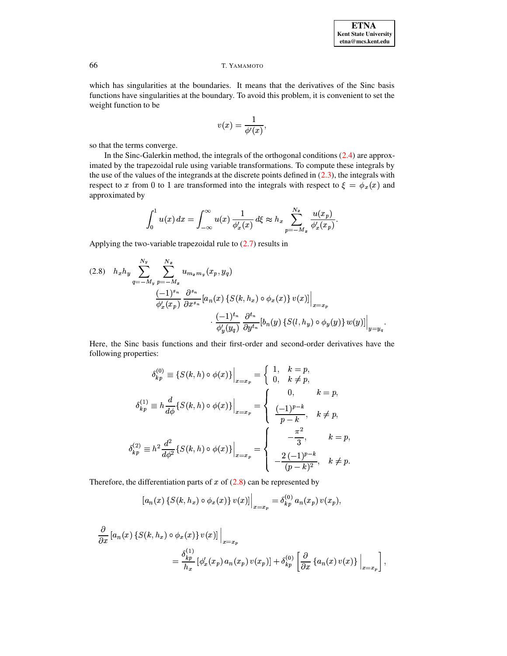### Т. ҮАМАМОТО

which has singularities at the boundaries. It means that the derivatives of the Sinc basis functions have singularities at the boundary. To avoid this problem, it is convenient to set the weight function to be

$$
v(x) = \frac{1}{\phi'(x)},
$$

so that the terms converge.

In the Sinc-Galerkin method, the integrals of the orthogonal conditions (2.4) are approximated by the trapezoidal rule using variable transformations. To compute these integrals by the use of the values of the integrands at the discrete points defined in  $(2.3)$ , the integrals with respect to x from 0 to 1 are transformed into the integrals with respect to  $\xi = \phi_x(x)$  and approximated by

$$
\int_0^1 u(x) \, dx = \int_{-\infty}^\infty u(x) \, \frac{1}{\phi_x'(x)} \, d\xi \approx h_x \sum_{p=-M_x}^{N_x} \frac{u(x_p)}{\phi_x'(x_p)}
$$

Applying the two-variable trapezoidal rule to  $(2.7)$  results in

<span id="page-3-0"></span>
$$
(2.8) \quad h_x h_y \sum_{q=-M_y}^{N_y} \sum_{p=-M_x}^{N_x} u_{m_x m_y}(x_p, y_q)
$$
  

$$
\frac{(-1)^{s_n}}{\phi'_x(x_p)} \frac{\partial^{s_n}}{\partial x^{s_n}} [a_n(x) \{S(k, h_x) \circ \phi_x(x)\} v(x)] \Big|_{x=x_p}
$$
  

$$
\cdot \frac{(-1)^{t_n}}{\phi'_y(y_q)} \frac{\partial^{t_n}}{\partial y^{t_n}} [b_n(y) \{S(l, h_y) \circ \phi_y(y)\} w(y)] \Big|_{y=y_q}.
$$

Here, the Sinc basis functions and their first-order and second-order derivatives have the following properties:

$$
\delta_{kp}^{(0)} \equiv \{ S(k, h) \circ \phi(x) \} \Big|_{x=x_p} = \begin{cases} 1, & k = p, \\ 0, & k \neq p, \end{cases}
$$

$$
\delta_{kp}^{(1)} \equiv h \frac{d}{d\phi} \{ S(k, h) \circ \phi(x) \} \Big|_{x=x_p} = \begin{cases} 0, & k = p, \\ \frac{(-1)^{p-k}}{p-k}, & k \neq p, \\ \frac{-\frac{\pi^2}{3}}{p-k}, & k = p, \\ -\frac{2}{3}, & k = p, \\ \frac{-\frac{2(-1)^{p-k}}{(p-k)^2}, & k \neq p. \end{cases}
$$

Therefore, the differentiation parts of  $x$  of  $(2.8)$  can be represented by

$$
[a_n(x) \{S(k, h_x) \circ \phi_x(x)\} v(x)]\Big|_{x=x_p} = \delta_{kp}^{(0)} a_n(x_p) v(x_p),
$$

$$
\frac{\partial}{\partial x} \left[ a_n(x) \left\{ S(k, h_x) \circ \phi_x(x) \right\} v(x) \right] \Big|_{x=x_p}
$$
\n
$$
= \frac{\delta_{kp}^{(1)}}{h_x} \left[ \phi'_x(x_p) \, a_n(x_p) \, v(x_p) \right] + \delta_{kp}^{(0)} \left[ \frac{\partial}{\partial x} \left\{ a_n(x) \, v(x) \right\} \Big|_{x=x_p} \right],
$$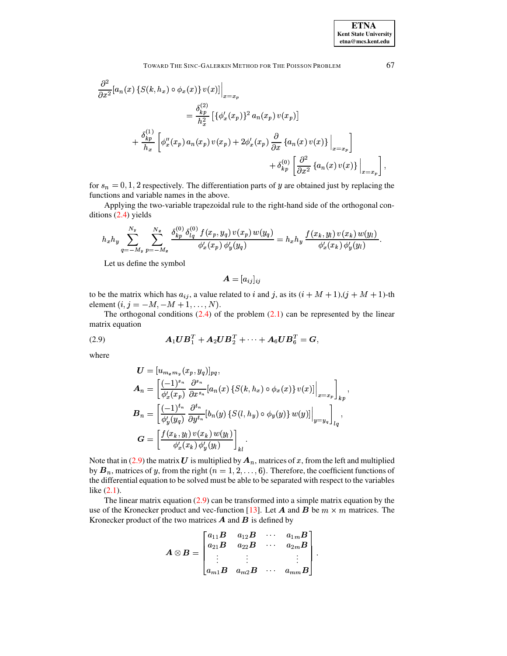$$
\frac{\partial^2}{\partial x^2} [a_n(x) \{ S(k, h_x) \circ \phi_x(x) \} v(x)] \Big|_{x=x_p}
$$
\n
$$
= \frac{\delta_{kp}^{(2)}}{h_x^2} \left[ \{ \phi'_x(x_p) \}^2 a_n(x_p) v(x_p) \right]
$$
\n
$$
+ \frac{\delta_{kp}^{(1)}}{h_x} \left[ \phi''_x(x_p) a_n(x_p) v(x_p) + 2 \phi'_x(x_p) \frac{\partial}{\partial x} \{ a_n(x) v(x) \} \Big|_{x=x_p} \right]
$$
\n
$$
+ \delta_{kp}^{(0)} \left[ \frac{\partial^2}{\partial x^2} \{ a_n(x) v(x) \} \Big|_{x=x_p} \right],
$$

for  $s_n = 0, 1, 2$  respectively. The differentiation parts of y are obtained just by replacing the functions and variable names in the above.

Applying the two-variable trapezoidal rule to the right-hand side of the orthogonal conditions  $(2.4)$  yields

$$
h_x h_y \sum_{q=-M_y}^{N_y} \sum_{p=-M_x}^{N_x} \frac{\delta_{kp}^{(0)} \delta_{lq}^{(0)} f(x_p, y_q) v(x_p) w(y_q)}{\phi_x'(x_p) \phi_y'(y_q)} = h_x h_y \frac{f(x_k, y_l) v(x_k) w(y_l)}{\phi_x'(x_k) \phi_y'(y_l)}
$$

Let us define the symbol

$$
\bm{A}=[a_{ij}]_{ij}
$$

to be the matrix which has  $a_{ij}$ , a value related to i and j, as its  $(i + M + 1)$ ,  $(j + M + 1)$ -th element  $(i, j = -M, -M + 1, ..., N)$ .

<span id="page-4-0"></span>The orthogonal conditions  $(2.4)$  of the problem  $(2.1)$  can be represented by the linear matrix equation

(2.9) 
$$
A_1 U B_1^T + A_2 U B_2^T + \cdots + A_6 U B_6^T = G,
$$

where

$$
U = [u_{m_{x}m_{y}}(x_{p}, y_{q})]_{pq},
$$
  
\n
$$
A_{n} = \left[\frac{(-1)^{s_{n}}}{\phi'_{x}(x_{p})} \frac{\partial^{s_{n}}}{\partial x^{s_{n}}}[a_{n}(x) \{S(k, h_{x}) \circ \phi_{x}(x)\} v(x)]\Big|_{x=x_{p}}\right]_{kp},
$$
  
\n
$$
B_{n} = \left[\frac{(-1)^{t_{n}}}{\phi'_{y}(y_{q})} \frac{\partial^{t_{n}}}{\partial y^{t_{n}}}[b_{n}(y) \{S(l, h_{y}) \circ \phi_{y}(y)\} w(y)]\Big|_{y=y_{q}}\right]_{lq},
$$
  
\n
$$
G = \left[\frac{f(x_{k}, y_{l}) v(x_{k}) w(y_{l})}{\phi'_{x}(x_{k}) \phi'_{y}(y_{l})}\right]_{kl}.
$$

Note that in (2.9) the matrix U is multiplied by  $A_n$ , matrices of x, from the left and multiplied by  $B_n$ , matrices of y, from the right  $(n = 1, 2, \ldots, 6)$ . Therefore, the coefficient functions of the differential equation to be solved must be able to be separated with respect to the variables like  $(2.1)$ .

The linear matrix equation  $(2.9)$  can be transformed into a simple matrix equation by the use of the Kronecker product and vec-function [13]. Let A and B be  $m \times m$  matrices. The Kronecker product of the two matrices  $\vec{A}$  and  $\vec{B}$  is defined by

$$
\boldsymbol{A} \otimes \boldsymbol{B} = \begin{bmatrix} a_{11} \boldsymbol{B} & a_{12} \boldsymbol{B} & \cdots & a_{1m} \boldsymbol{B} \\ a_{21} \boldsymbol{B} & a_{22} \boldsymbol{B} & \cdots & a_{2m} \boldsymbol{B} \\ \vdots & \vdots & & \vdots \\ a_{m1} \boldsymbol{B} & a_{m2} \boldsymbol{B} & \cdots & a_{mm} \boldsymbol{B} \end{bmatrix}
$$

67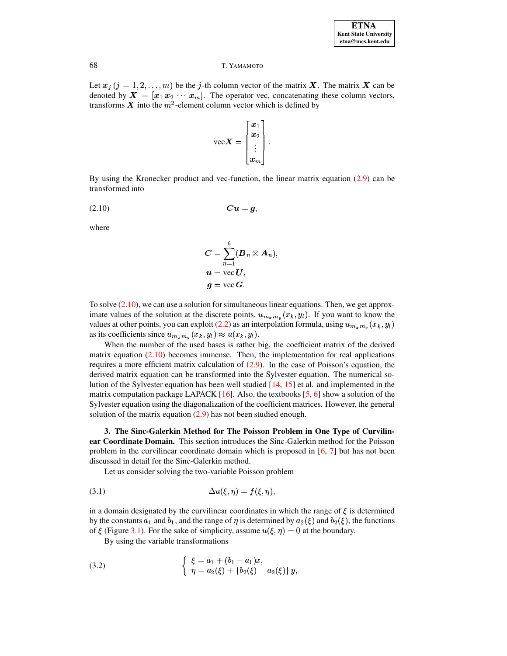#### Т. ҮАМАМОТО

Let  $x_j$   $(j = 1, 2, ..., m)$  be the j-th column vector of the matrix X. The matrix X can be denoted by  $\mathbf{X} = [x_1 \, x_2 \, \cdots \, x_m]$ . The operator vec, concatenating these column vectors, transforms X into the  $m^2$ -element column vector which is defined by

$$
\text{vec}\mathbf{X} = \begin{bmatrix} x_1 \\ x_2 \\ \vdots \\ x_m \end{bmatrix}.
$$

<span id="page-5-0"></span>By using the Kronecker product and vec-function, the linear matrix equation  $(2.9)$  can be transformed into

$$
(2.10) \t C u = g
$$

where

$$
C = \sum_{n=1}^{6} (B_n \otimes A_n),
$$
  

$$
u = \text{vec } U,
$$
  

$$
g = \text{vec } G.
$$

To solve  $(2.10)$ , we can use a solution for simultaneous linear equations. Then, we get approximate values of the solution at the discrete points,  $u_{m_x m_y}(x_k, y_l)$ . If you want to know the values at other points, you can exploit (2.2) as an interpolation formula, using  $u_{m_x m_y}(x_k, y_l)$ as its coefficients since  $u_{m_x m_y}(x_k, y_l) \approx u(x_k, y_l)$ .

When the number of the used bases is rather big, the coefficient matrix of the derived matrix equation  $(2.10)$  becomes immense. Then, the implementation for real applications requires a more efficient matrix calculation of  $(2.9)$ . In the case of Poisson's equation, the derived matrix equation can be transformed into the Sylvester equation. The numerical solution of the Sylvester equation has been well studied  $[14, 15]$  et al. and implemented in the matrix computation package LAPACK  $[16]$ . Also, the textbooks  $[5, 6]$  show a solution of the Sylvester equation using the diagonalization of the coefficient matrices. However, the general solution of the matrix equation  $(2.9)$  has not been studied enough.

3. The Sinc-Galerkin Method for The Poisson Problem in One Type of Curvilinear Coordinate Domain. This section introduces the Sinc-Galerkin method for the Poisson problem in the curvilinear coordinate domain which is proposed in  $[6, 7]$  but has not been discussed in detail for the Sinc-Galerkin method.

<span id="page-5-2"></span>Let us consider solving the two-variable Poisson problem

$$
\Delta u(\xi, \eta) = f(\xi, \eta),
$$

in a domain designated by the curvilinear coordinates in which the range of  $\xi$  is determined by the constants  $a_1$  and  $b_1$ , and the range of  $\eta$  is determined by  $a_2(\xi)$  and  $b_2(\xi)$ , the functions of  $\xi$  (Figure 3.1). For the sake of simplicity, assume  $u(\xi, \eta) = 0$  at the boundary.

<span id="page-5-1"></span>By using the variable transformations

(3.2) 
$$
\begin{cases} \xi = a_1 + (b_1 - a_1)x, \\ \eta = a_2(\xi) + \{b_2(\xi) - a_2(\xi)\} y, \end{cases}
$$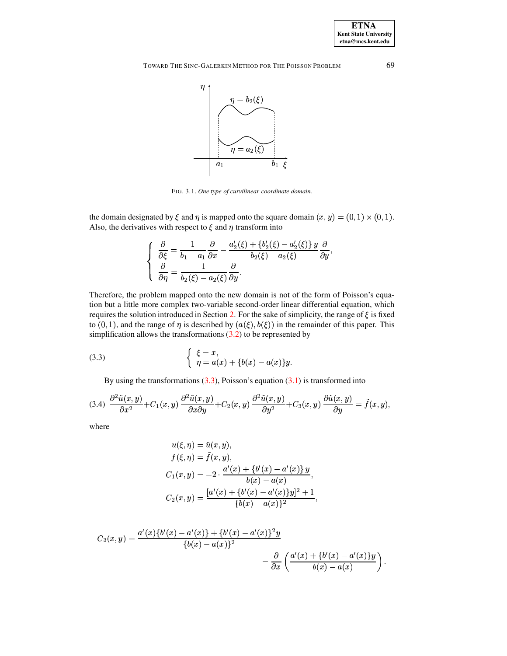TOWARD THE SINC-GALERKIN METHOD FOR THE POISSON PROBLEM



<span id="page-6-0"></span>FIG. 3.1. One type of curvilinear coordinate domain.

the domain designated by  $\xi$  and  $\eta$  is mapped onto the square domain  $(x, y) = (0, 1) \times (0, 1)$ . Also, the derivatives with respect to  $\xi$  and  $\eta$  transform into

<span id="page-6-1"></span>
$$
\left\{\n\begin{aligned}\n\frac{\partial}{\partial \xi} &= \frac{1}{b_1 - a_1} \frac{\partial}{\partial x} - \frac{a_2'(\xi) + \{b_2'(\xi) - a_2'(\xi)\} \, y}{b_2(\xi) - a_2(\xi)} \frac{\partial}{\partial y}, \\
\frac{\partial}{\partial \eta} &= \frac{1}{b_2(\xi) - a_2(\xi)} \frac{\partial}{\partial y}.\n\end{aligned}\n\right.
$$

Therefore, the problem mapped onto the new domain is not of the form of Poisson's equation but a little more complex two-variable second-order linear differential equation, which requires the solution introduced in Section 2. For the sake of simplicity, the range of  $\xi$  is fixed to (0, 1), and the range of  $\eta$  is described by  $(a(\xi), b(\xi))$  in the remainder of this paper. This simplification allows the transformations  $(3.2)$  to be represented by

(3.3) 
$$
\begin{cases} \xi = x, \\ \eta = a(x) + \{b(x) - a(x)\}y \end{cases}
$$

By using the transformations  $(3.3)$ , Poisson's equation  $(3.1)$  is transformed into

$$
(3.4) \frac{\partial^2 \tilde{u}(x,y)}{\partial x^2} + C_1(x,y) \frac{\partial^2 \tilde{u}(x,y)}{\partial x \partial y} + C_2(x,y) \frac{\partial^2 \tilde{u}(x,y)}{\partial y^2} + C_3(x,y) \frac{\partial \tilde{u}(x,y)}{\partial y} = \tilde{f}(x,y),
$$

where

<span id="page-6-2"></span>
$$
u(\xi, \eta) = \tilde{u}(x, y),
$$
  
\n
$$
f(\xi, \eta) = \tilde{f}(x, y),
$$
  
\n
$$
C_1(x, y) = -2 \cdot \frac{a'(x) + \{b'(x) - a'(x)\} y}{b(x) - a(x)},
$$
  
\n
$$
C_2(x, y) = \frac{[a'(x) + \{b'(x) - a'(x)\} y]^2 + 1}{\{b(x) - a(x)\}^2},
$$

$$
C_3(x,y) = \frac{a'(x)\{b'(x) - a'(x)\} + \{b'(x) - a'(x)\}^2 y}{\{b(x) - a(x)\}^2} - \frac{\partial}{\partial x} \left(\frac{a'(x) + \{b'(x) - a'(x)\}y}{b(x) - a(x)}\right).
$$

69

**ETNA Kent State University**  $etna@mcs. kent.edu$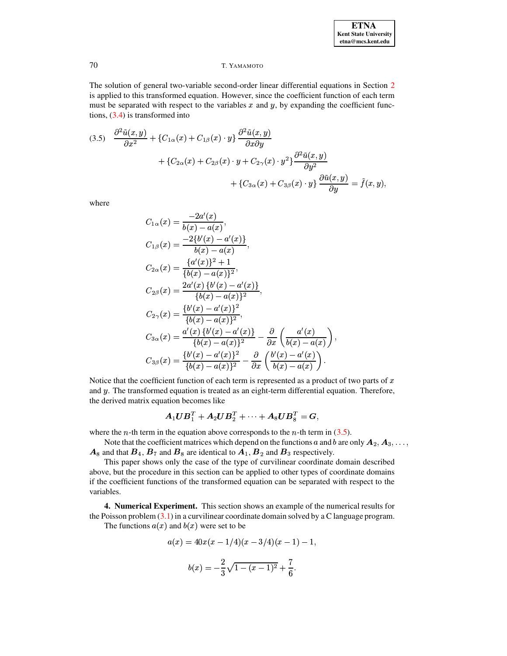### Т. ҮАМАМОТО

The solution of general two-variable second-order linear differential equations in Section 2 is applied to this transformed equation. However, since the coefficient function of each term must be separated with respect to the variables  $x$  and  $y$ , by expanding the coefficient functions,  $(3.4)$  is transformed into

<span id="page-7-0"></span>
$$
(3.5) \quad \frac{\partial^2 \tilde{u}(x,y)}{\partial x^2} + \{C_{1\alpha}(x) + C_{1\beta}(x) \cdot y\} \frac{\partial^2 \tilde{u}(x,y)}{\partial x \partial y} \n+ \{C_{2\alpha}(x) + C_{2\beta}(x) \cdot y + C_{2\gamma}(x) \cdot y^2\} \frac{\partial^2 \tilde{u}(x,y)}{\partial y^2} \n+ \{C_{3\alpha}(x) + C_{3\beta}(x) \cdot y\} \frac{\partial \tilde{u}(x,y)}{\partial y} = \tilde{f}(x,y),
$$

where

$$
C_{1\alpha}(x) = \frac{-2a'(x)}{b(x) - a(x)},
$$
  
\n
$$
C_{1\beta}(x) = \frac{-2\{b'(x) - a'(x)\}}{b(x) - a(x)},
$$
  
\n
$$
C_{2\alpha}(x) = \frac{\{a'(x)\}^2 + 1}{\{b(x) - a(x)\}^2},
$$
  
\n
$$
C_{2\beta}(x) = \frac{2a'(x)\{b'(x) - a'(x)\}}{\{b(x) - a(x)\}^2},
$$
  
\n
$$
C_{2\gamma}(x) = \frac{\{b'(x) - a'(x)\}^2}{\{b(x) - a(x)\}^2},
$$
  
\n
$$
C_{3\alpha}(x) = \frac{a'(x)\{b'(x) - a'(x)\}}{\{b(x) - a(x)\}^2} - \frac{\partial}{\partial x}\left(\frac{a'(x)}{b(x) - a(x)}\right),
$$
  
\n
$$
C_{3\beta}(x) = \frac{\{b'(x) - a'(x)\}^2}{\{b(x) - a(x)\}^2} - \frac{\partial}{\partial x}\left(\frac{b'(x) - a'(x)}{b(x) - a(x)}\right).
$$

Notice that the coefficient function of each term is represented as a product of two parts of  $x$ and y. The transformed equation is treated as an eight-term differential equation. Therefore, the derived matrix equation becomes like

$$
\boldsymbol{A}_1 \boldsymbol{U} \boldsymbol{B}_1^T + \boldsymbol{A}_2 \boldsymbol{U} \boldsymbol{B}_2^T + \cdots + \boldsymbol{A}_8 \boldsymbol{U} \boldsymbol{B}_8^T = \boldsymbol{G},
$$

where the *n*-th term in the equation above corresponds to the *n*-th term in  $(3.5)$ .

Note that the coefficient matrices which depend on the functions a and b are only  $A_2, A_3, \ldots$  $A_8$  and that  $B_4$ ,  $B_7$  and  $B_8$  are identical to  $A_1$ ,  $B_2$  and  $B_3$  respectively.

This paper shows only the case of the type of curvilinear coordinate domain described above, but the procedure in this section can be applied to other types of coordinate domains if the coefficient functions of the transformed equation can be separated with respect to the variables.

4. Numerical Experiment. This section shows an example of the numerical results for the Poisson problem  $(3.1)$  in a curvilinear coordinate domain solved by a C language program.

The functions  $a(x)$  and  $b(x)$  were set to be

$$
a(x) = 40x(x - 1/4)(x - 3/4)(x - 1) - 1,
$$
  

$$
b(x) = -\frac{2}{3}\sqrt{1 - (x - 1)^2} + \frac{7}{6}.
$$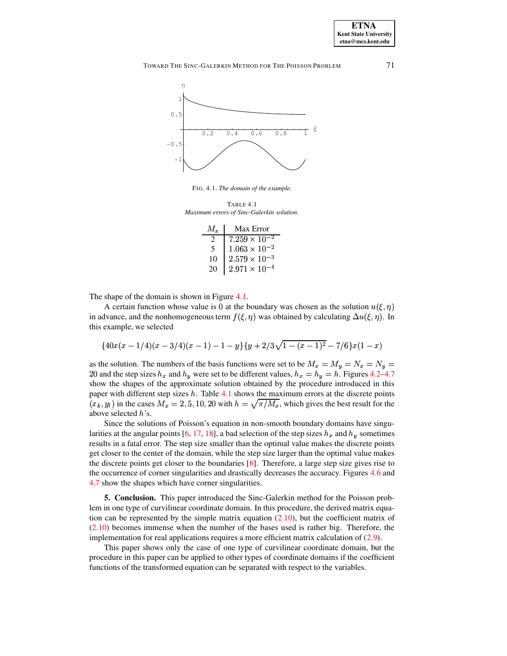TOWARD THE SINC-GALERKIN METHOD FOR THE POISSON PROBLEM



FIG. 4.1. The domain of the example.

<span id="page-8-1"></span><span id="page-8-0"></span>TARLE  $41$ Maximum errors of Sinc-Galerkin solution.

| $M_{\tau}$ | Max Error              |
|------------|------------------------|
|            | $7.259 \times 10^{-2}$ |
| 5          | $1.063 \times 10^{-2}$ |
| 10         | $2.579\times10^{-3}$   |
| 20         | $2.971 \times 10^{-4}$ |

The shape of the domain is shown in Figure 4.1.

A certain function whose value is 0 at the boundary was chosen as the solution  $u(\xi, \eta)$ in advance, and the nonhomogeneous term  $f(\xi, \eta)$  was obtained by calculating  $\Delta u(\xi, \eta)$ . In this example, we selected

$$
{40x(x-1/4)(x-3/4)(x-1)-1-y}{y+2/3\sqrt{1-(x-1)^2}-7/6}x(1-x)
$$

as the solution. The numbers of the basis functions were set to be  $M_x = M_y = N_x = N_y$ 20 and the step sizes  $h_x$  and  $h_y$  were set to be different values,  $h_x = h_y = h$ . Figures 4.2–4.7 show the shapes of the approximate solution obtained by the procedure introduced in this paper with different step sizes  $h$ . Table 4.1 shows the maximum errors at the discrete points  $(x_k, y_l)$  in the cases  $M_x = 2, 5, 10, 20$  with  $h = \sqrt{\pi/M_x}$ , which gives the best result for the above selected h's.

Since the solutions of Poisson's equation in non-smooth boundary domains have singularities at the angular points [6, 17, 18], a bad selection of the step sizes  $h_x$  and  $h_y$  sometimes results in a fatal error. The step size smaller than the optimal value makes the discrete points get closer to the center of the domain, while the step size larger than the optimal value makes the discrete points get closer to the boundaries [6]. Therefore, a large step size gives rise to the occurrence of corner singularities and drastically decreases the accuracy. Figures 4.6 and 4.7 show the shapes which have corner singularities.

**5. Conclusion.** This paper introduced the Sinc-Galerkin method for the Poisson problem in one type of curvilinear coordinate domain. In this procedure, the derived matrix equation can be represented by the simple matrix equation  $(2.10)$ , but the coefficient matrix of  $(2.10)$  becomes immense when the number of the bases used is rather big. Therefore, the implementation for real applications requires a more efficient matrix calculation of  $(2.9)$ .

This paper shows only the case of one type of curvilinear coordinate domain, but the procedure in this paper can be applied to other types of coordinate domains if the coefficient functions of the transformed equation can be separated with respect to the variables.

71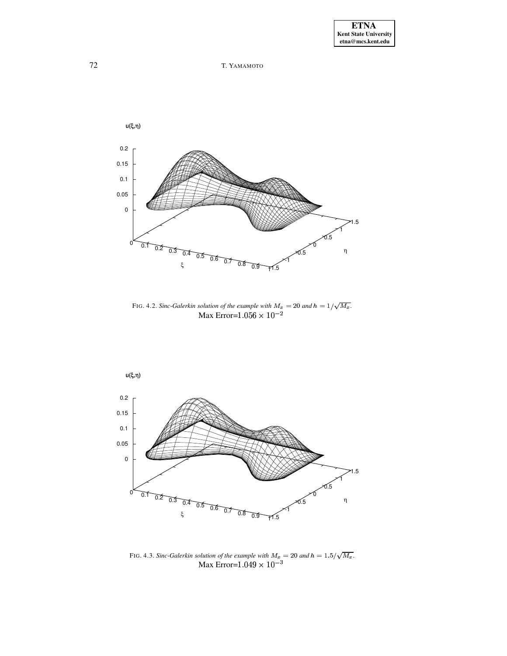



<span id="page-9-0"></span>FIG. 4.2. Sinc-Galerkin solution of the example with  $M_x = 20$  and  $h = 1/\sqrt{M_x}$ .<br>Max Error=1.056  $\times 10^{-2}$ 



FIG. 4.3. Sinc-Galerkin solution of the example with  $M_x = 20$  and  $h = 1.5/\sqrt{M_x}$ .<br>Max Error= $1.049 \times 10^{-3}$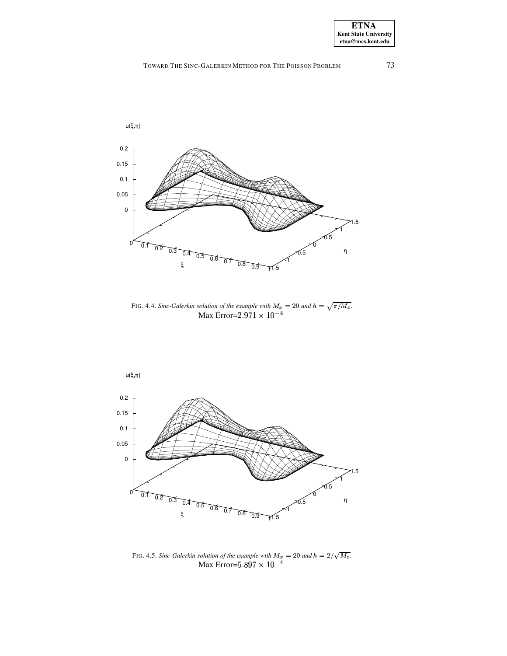

FIG. 4.4. *Sinc-Galerkin solution of the example with*  $M_x = 20$  and  $h = \sqrt{\pi/M_x}$ . *colution of the example with*  $M_x = 20$  *and i*<br>Max Error=2.971  $\times 10^{-4}$ 



FIG. 4.5. *Sinc-Galerkin solution of the example with*  $M_x = 20$  and  $h = 2/\sqrt{M_x}$ . solution of the example with  $M_x = 20$  and .<br>Max Error=5.897  $\times$   $10^{-4}$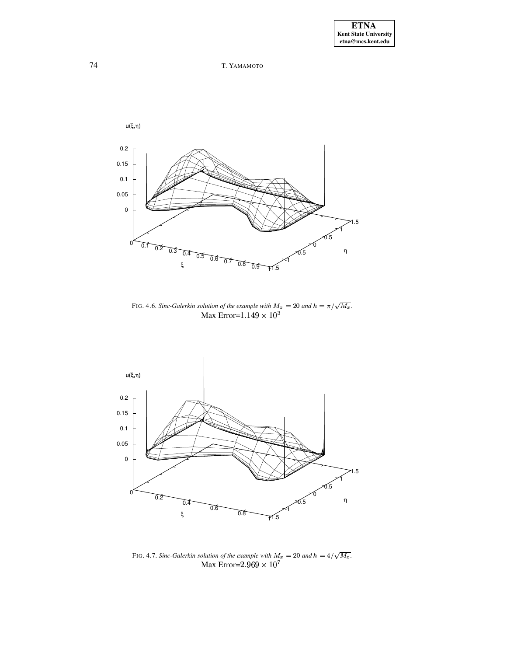# 74 T. YAMAMOTO



<span id="page-11-1"></span>FIG. 4.6. *Sinc-Galerkin solution of the example with*  $M_x = 20$  *and*  $h = \pi/\sqrt{M_x}$ .<br>Max Error=1.149  $\times 10^3$ 



<span id="page-11-0"></span>FIG. 4.7. *Sinc-Galerkin solution of the example with*  $M_x = 20$  *and*  $h = 4/\sqrt{M_x}$ .<br>Max Error= $2.969 \times 10^7$